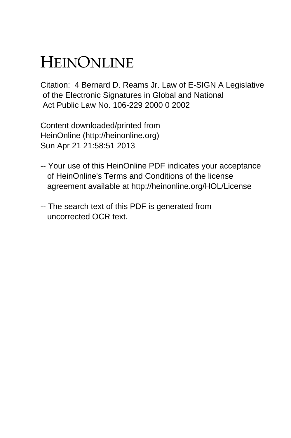# HEINONLINE

Citation: 4 Bernard D. Reams Jr. Law of E-SIGN A Legislative of the Electronic Signatures in Global and National Act Public Law No. 106-229 2000 0 2002

Content downloaded/printed from HeinOnline (http://heinonline.org) Sun Apr 21 21:58:51 2013

- -- Your use of this HeinOnline PDF indicates your acceptance of HeinOnline's Terms and Conditions of the license agreement available at http://heinonline.org/HOL/License
- -- The search text of this PDF is generated from uncorrected OCR text.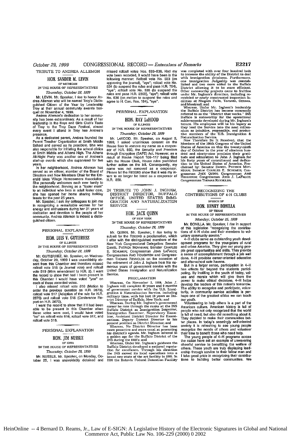#### CONGRESSIONAL RECORD - *Extensions of Remarks* **E2217**

## **HON. SANDER** M. **LEVIN OF WICAN**

**IN** THE HOUSE OF REPRESENTATIVES *Thursday, October28, 1999*

Mr. LEVIN. Mr. Speaker, **I** rise to honnr Andrea Allemon who will be named Troy's Distinguished Citizen of the Year by Leadership<br>Troy at their annual community awards ban-<br>quet on November 4, 1999.<br>**Andrea Allemon's dedication to her commu-**

nity has been extraordina<mark>ry. As a r</mark>esult of her<br>leadership in the Boys and Girls Club's Taste **of** Troy **to** the Troy Daze Festival, almost every event I attend in Troy has Andrea's presence.

As a dedicated parent, Andrea founded the Parent Teacher Organization at Smith Middle School and served as its president. She was also responsible for initialing the school clinics at Smith Middle and Athens High. The Athens All-Night Party was another one of Andrea's start-up events which she supervised for five years. In *her* neighborhood, Andrea Allemon has

*sewed* as an officer, member of the Board of Directors and New Members Chair for the Emerald **lakes** Village Homeowners Association. She personally welcomes each new family to the neighborhood. Serving *as* a "foser mom" to an individual who lives in adult foster care, she has opened her home sharing holiday feasts **for** the past **25** years. Mr. Speaker, **I** ask my colleagues to join me

in recognizing a remarkable woman for her energy and enthusiasm during her **31** years of dedication and devotion to the people of her aommunity. Andrea Allemon is indeed a distinguished citizen.

#### PERSONAL EXPLANATION

#### **HON. LUIS** V. GUTIERREZ OF **oILNOIS**

IN THE HOUSE OF REPRESENTATIVES *Thursday, October 28, 1999*

Mr. GUTISRREZ. Mr. Speaker, on Wednesday, October 20, **1999** I was unavoidably **ab**sent from this Chamber and herefore missed renloall vote 515 **(a** Journal vote) and rollcall vote **519** (Mink amendment to H.R. 2). I want lhe record to show that had **I** been present in this Chamber **I** would have voted "yea" on

each **of** these recorded votes. **<sup>I</sup>**als **missed** roliolnl **vote 516** (Motion to order the previous question **on** H.R. **2670), rallca[I** vote **517** (Adoption **of the rule for H.R. 2670)** and **rolcall vote 518** (Conference Repad on H.R. **2670).** I want the record **to show that if I** had been

able to be present in this Chamber when<br>these votes were cast, I would have voted "no" on rollcall vote 516, rollcall vote 517, and mllcall vote 51S.

#### PERSONAL EXPLANATION

### **HON. JIM NUSSLE**

OF IOWA IN THE HOUSE OF REPRESENTATIVES *Thursday, October 28.1999*

Mr. NUSSLE. Mr. Speaker, cn Monday, October **25, 1** was unavoidably detained and

missed rollonli **votes** Nos. **533-536.** Had my vote been recorded, it **would** have been in the iollowing manner Rollcall vote No. **533 (on** approving the journal), "aye"; rollcall vote **No.**<br>534 (to suspend the rules and pass H.R. 754), "aye"; rclcall vote No. **535** (to suspend the mise and pass H.R. 2303), "aye"; rolloall vote No. **536** (on motion **Io** suspend **the** roles **and** agree to H. Con. Res. 194), "aye".

#### PERSONAL EXPLANATION

#### **HON.** RAY LaHOOD OF **ILLINOIS**

IN THE HOUSE OF REPRESENTATIVES *Thruday, October 28, 1999*

Mr. LAHOOD. Mr. Speaker, on August *S,* **1999, 1** asked unanimous consent on **the** House floor **Io** remove my name as a cospansor of H.R. 850, the Security and Freedom<br>through Encryption (SAFE) Act. However, as a<br>result of House Report 106-117 being filed<br>with the House Clerk, House rules prohibited<br>further action on the bill. Consequently, my name was not removed **as** a **cosponsnr.** Please let the RECORD show that it was my intent to **no** longer be listed as a cosponsor **of** H.R. 850.

IN TRIBUTE TO JOHN **J.** INGHAM, DISTRICT DIRECTOR, BUFFALO OFFICE. **UNITED** STATES IMMI-GRATION AND NATURALIZATION SERVICE

### **HON. JACK QUINN**

IN THE HOUSE OF REPRESENTATIVES *Thirsday, October 28, 1999*

Mr. **QUINN.** Mr. Speaker, I rise today to submit for the RECORD a proclamation, which I offer wih the distinguished members **of** the New York Congressional Delegation; Senator **DANIEL** PATRICK **MOYNIHAN;** Senator CHARLES **E. SCHUME** ; Congressman **JOHN** LAFALCE; Congressman AMO **HOUG1TON** and Congressman THOMAS REYNOLDS on the occasion of the retirement of John **J.** Ingham from his numerous years of government service with the United States Immigration and Naturalization Service.

PROCLAMATION (PROCLAMATION 1976). The summa such constrained a series and 9 months of government service with the U.S. Emmi<br>primary time and 2 months gration & Naturalization Service, including<br>principal price with the U.

tion for excellence. Through his direction the INS moved its local operutions iow a brand new state of the art facility in **1995.** In **1998** the Batavia Federal Detention Facility

was completed with over four hundred beds<br>to increase the ability of the District to deal<br>with immigration detainees. Furthermore,<br>one immigration Judgeshlp was reestablished and two more added to the Buffalo<br>District allo Other noteworthy projects came to fruition under Mr. Ingham's direction, including re. modeled or newly constructed inspection facilities at Niagara Falls. Toronto, Ottawa, and Montreal; and Whereas. Under **Mr.** Ingham's leadership

the Buffalo District has become commonly<br>tele-referred to as the "District that works." INS<br>Buffalo is noteworthy for the operational<br>chievements developed during Mr. Ingham's<br>tenure. His employees will be his legacy as<br>th

nium as initiative. responsible, and production are initiative. responsible, and production as initiative members of the U.S. Immigration & Wemhers of the Ultied Novembers of the Ultied Novembers of States of America Stat

### RECOGNIZING THE<br>CONTRIBUTIONS OF 4-H CLUBS

#### SPEECH OF **HON.** HENRY **BONILLA**

OF **TEXAS**

IN THE **HOUSE** OF REPRESENTATIVES *Monday, October 25 1999*

Mr. BONILLA. Mr. Speaker, I rise in support of this legislation *"recognizing* the contributions of 4-H clubs and their members to vol-<br>untary community service."<br>4-H clubs serve as outstanding youth devel-<br>4-H clubs serve

opment programs for the youngsters of rural and urban America. They give our young people great opporlunities and skills. They provlde a sense of accomplishment through a **job** well done. 4-H provides career-odented education **and** after-schol safe havens.

But in a larger sense, participation in 4-H has effects far beyond the students participating. By instilling in the youth of today, values and morals which will give them the power to make ethical decisions. 4-H helps develop **the** leodem **of this** nation's tomorrow. The ability to recognize **and** participate, vountarily, in community service activities is per **haps one of** the greatest **ethics** we nan teach **our** youth.

Volunteering **to** help thers is a part **of** *the* American **culture.** American history is **full** of people **who** not only recognized that **the** world **is** full **of** need, **but** also did something **about** it. They decided to make their communities **bet-**For places. In today's seemingly self-oriented<br>society it is refreshing to see young people<br>recognize the needs of others and volunteed<br>their time to benefit those who need help.

The young people of 4-H programs **across the** nation have set an example **of** *unwavering* cheerful service **to benefitting** the welfare **of others.** These youth am truly displaying lead-**ership** through **service to** their fellow **man** and I take great pride in recognizing their contribu-<br>tions to building better communities. We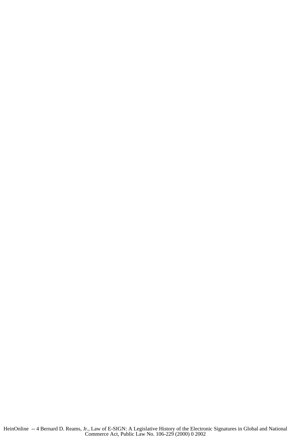HeinOnline -- 4 Bernard D. Reams, Jr., Law of E-SIGN: A Legislative History of the Electronic Signatures in Global and National Commerce Act, Public Law No. 106-229 (2000) 0 2002